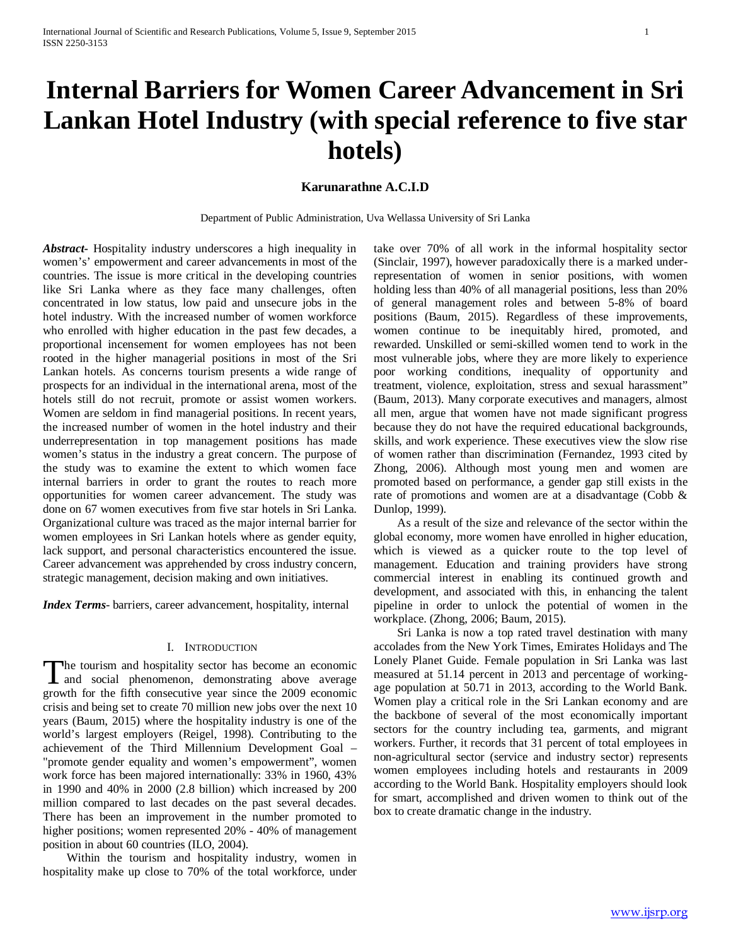# **Internal Barriers for Women Career Advancement in Sri Lankan Hotel Industry (with special reference to five star hotels)**

# **Karunarathne A.C.I.D**

Department of Public Administration, Uva Wellassa University of Sri Lanka

*Abstract***-** Hospitality industry underscores a high inequality in women's' empowerment and career advancements in most of the countries. The issue is more critical in the developing countries like Sri Lanka where as they face many challenges, often concentrated in low status, low paid and unsecure jobs in the hotel industry. With the increased number of women workforce who enrolled with higher education in the past few decades, a proportional incensement for women employees has not been rooted in the higher managerial positions in most of the Sri Lankan hotels. As concerns tourism presents a wide range of prospects for an individual in the international arena, most of the hotels still do not recruit, promote or assist women workers. Women are seldom in find managerial positions. In recent years, the increased number of women in the hotel industry and their underrepresentation in top management positions has made women's status in the industry a great concern. The purpose of the study was to examine the extent to which women face internal barriers in order to grant the routes to reach more opportunities for women career advancement. The study was done on 67 women executives from five star hotels in Sri Lanka. Organizational culture was traced as the major internal barrier for women employees in Sri Lankan hotels where as gender equity, lack support, and personal characteristics encountered the issue. Career advancement was apprehended by cross industry concern, strategic management, decision making and own initiatives.

*Index Terms*- barriers, career advancement, hospitality, internal

## I. INTRODUCTION

The tourism and hospitality sector has become an economic The tourism and hospitality sector has become an economic<br>and social phenomenon, demonstrating above average growth for the fifth consecutive year since the 2009 economic crisis and being set to create 70 million new jobs over the next 10 years (Baum, 2015) where the hospitality industry is one of the world's largest employers (Reigel, 1998). Contributing to the achievement of the Third Millennium Development Goal – "promote gender equality and women's empowerment", women work force has been majored internationally: 33% in 1960, 43% in 1990 and 40% in 2000 (2.8 billion) which increased by 200 million compared to last decades on the past several decades. There has been an improvement in the number promoted to higher positions; women represented 20% - 40% of management position in about 60 countries (ILO, 2004).

 Within the tourism and hospitality industry, women in hospitality make up close to 70% of the total workforce, under take over 70% of all work in the informal hospitality sector (Sinclair, 1997), however paradoxically there is a marked underrepresentation of women in senior positions, with women holding less than 40% of all managerial positions, less than 20% of general management roles and between 5-8% of board positions (Baum, 2015). Regardless of these improvements, women continue to be inequitably hired, promoted, and rewarded. Unskilled or semi-skilled women tend to work in the most vulnerable jobs, where they are more likely to experience poor working conditions, inequality of opportunity and treatment, violence, exploitation, stress and sexual harassment" (Baum, 2013). Many corporate executives and managers, almost all men, argue that women have not made significant progress because they do not have the required educational backgrounds, skills, and work experience. These executives view the slow rise of women rather than discrimination (Fernandez, 1993 cited by Zhong, 2006). Although most young men and women are promoted based on performance, a gender gap still exists in the rate of promotions and women are at a disadvantage (Cobb  $\&$ Dunlop, 1999).

 As a result of the size and relevance of the sector within the global economy, more women have enrolled in higher education, which is viewed as a quicker route to the top level of management. Education and training providers have strong commercial interest in enabling its continued growth and development, and associated with this, in enhancing the talent pipeline in order to unlock the potential of women in the workplace. (Zhong, 2006; Baum, 2015).

 Sri Lanka is now a top rated travel destination with many accolades from the New York Times, Emirates Holidays and The Lonely Planet Guide. Female population in Sri Lanka was last measured at 51.14 percent in 2013 and percentage of workingage population at 50.71 in 2013, according to the World Bank. Women play a critical role in the Sri Lankan economy and are the backbone of several of the most economically important sectors for the country including tea, garments, and migrant workers. Further, it records that 31 percent of total employees in non-agricultural sector (service and industry sector) represents women employees including hotels and restaurants in 2009 according to the World Bank. Hospitality employers should look for smart, accomplished and driven women to think out of the box to create dramatic change in the industry.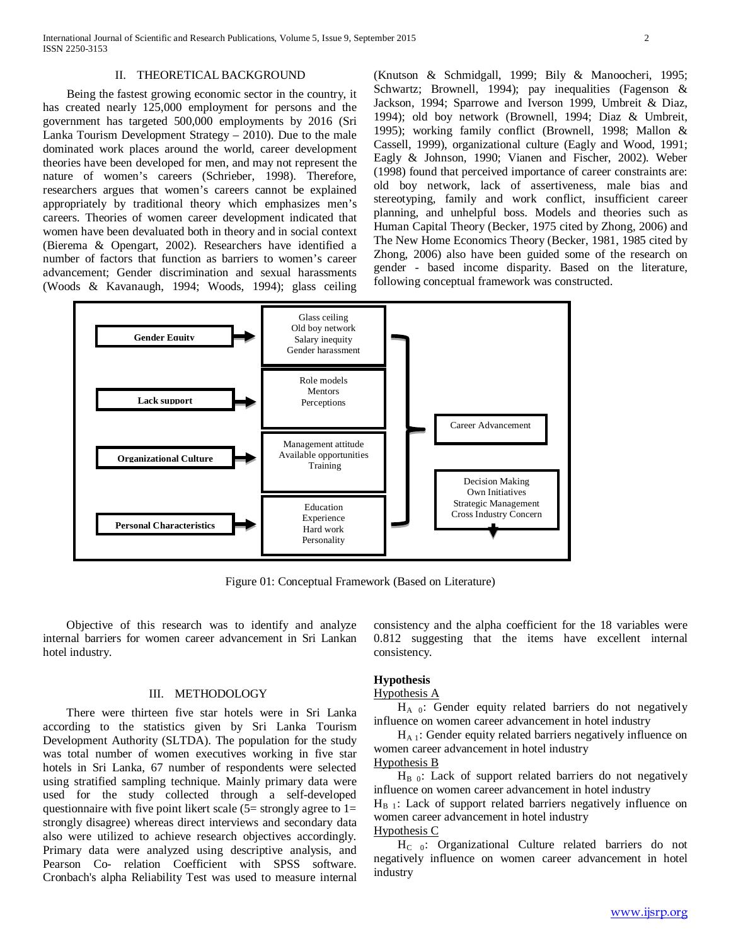## II. THEORETICAL BACKGROUND

 Being the fastest growing economic sector in the country, it has created nearly 125,000 employment for persons and the government has targeted 500,000 employments by 2016 (Sri Lanka Tourism Development Strategy *–* 2010). Due to the male dominated work places around the world, career development theories have been developed for men, and may not represent the nature of women's careers (Schrieber, 1998). Therefore, researchers argues that women's careers cannot be explained appropriately by traditional theory which emphasizes men's careers. Theories of women career development indicated that women have been devaluated both in theory and in social context (Bierema & Opengart, 2002). Researchers have identified a number of factors that function as barriers to women's career advancement; Gender discrimination and sexual harassments (Woods & Kavanaugh, 1994; Woods, 1994); glass ceiling

(Knutson & Schmidgall, 1999; Bily & Manoocheri, 1995; Schwartz; Brownell, 1994); pay inequalities (Fagenson & Jackson, 1994; Sparrowe and Iverson 1999, Umbreit & Diaz, 1994); old boy network (Brownell, 1994; Diaz & Umbreit, 1995); working family conflict (Brownell, 1998; Mallon & Cassell, 1999), organizational culture (Eagly and Wood, 1991; Eagly & Johnson, 1990; Vianen and Fischer, 2002). Weber (1998) found that perceived importance of career constraints are: old boy network, lack of assertiveness, male bias and stereotyping, family and work conflict, insufficient career planning, and unhelpful boss. Models and theories such as Human Capital Theory (Becker, 1975 cited by Zhong, 2006) and The New Home Economics Theory (Becker, 1981, 1985 cited by Zhong, 2006) also have been guided some of the research on gender - based income disparity. Based on the literature, following conceptual framework was constructed.



Figure 01: Conceptual Framework (Based on Literature)

 Objective of this research was to identify and analyze internal barriers for women career advancement in Sri Lankan hotel industry.

#### III. METHODOLOGY

 There were thirteen five star hotels were in Sri Lanka according to the statistics given by Sri Lanka Tourism Development Authority (SLTDA). The population for the study was total number of women executives working in five star hotels in Sri Lanka, 67 number of respondents were selected using stratified sampling technique. Mainly primary data were used for the study collected through a self-developed questionnaire with five point likert scale  $(5=$  strongly agree to  $1=$ strongly disagree) whereas direct interviews and secondary data also were utilized to achieve research objectives accordingly. Primary data were analyzed using descriptive analysis, and Pearson Co- relation Coefficient with SPSS software. Cronbach's alpha Reliability Test was used to measure internal

consistency and the alpha coefficient for the 18 variables were 0.812 suggesting that the items have excellent internal consistency.

# **Hypothesis**

#### Hypothesis A

 $H_A$  0: Gender equity related barriers do not negatively influence on women career advancement in hotel industry

H<sub>A 1</sub>: Gender equity related barriers negatively influence on women career advancement in hotel industry

# Hypothesis B

 $H_{B_0}$ : Lack of support related barriers do not negatively influence on women career advancement in hotel industry

 $H_{B_1}$ : Lack of support related barriers negatively influence on women career advancement in hotel industry

#### Hypothesis C

 $H_C$  0: Organizational Culture related barriers do not negatively influence on women career advancement in hotel industry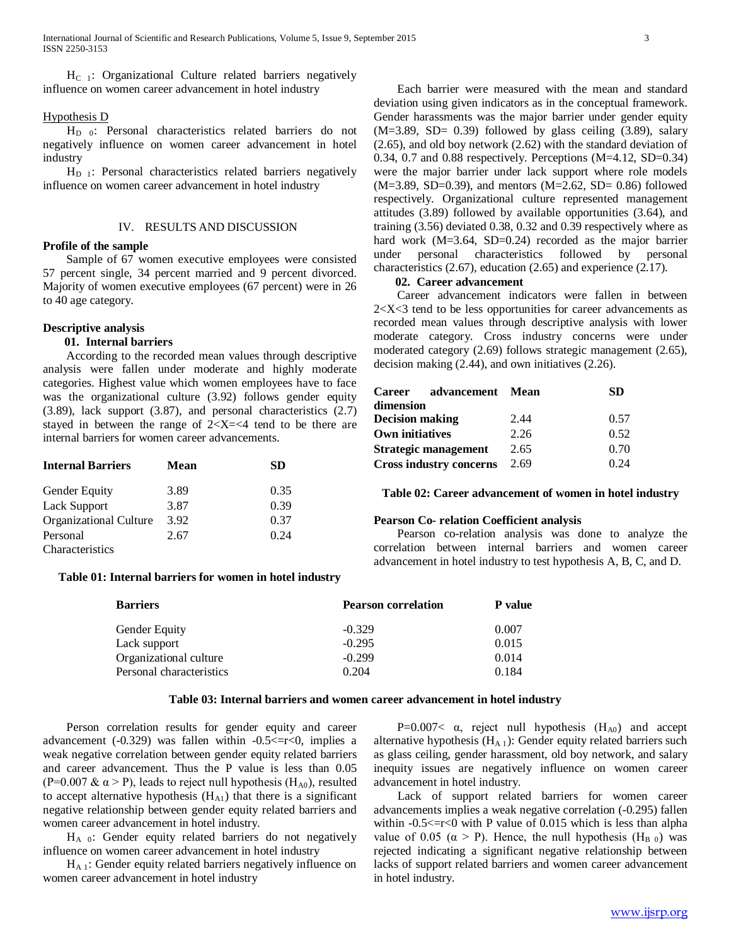$H_{C<sub>1</sub>}$ : Organizational Culture related barriers negatively influence on women career advancement in hotel industry

#### Hypothesis D

H<sub>D 0</sub>: Personal characteristics related barriers do not negatively influence on women career advancement in hotel industry

 $H<sub>D-1</sub>$ : Personal characteristics related barriers negatively influence on women career advancement in hotel industry

#### IV. RESULTS AND DISCUSSION

## **Profile of the sample**

 Sample of 67 women executive employees were consisted 57 percent single, 34 percent married and 9 percent divorced. Majority of women executive employees (67 percent) were in 26 to 40 age category.

# **Descriptive analysis**

# **01. Internal barriers**

 According to the recorded mean values through descriptive analysis were fallen under moderate and highly moderate categories. Highest value which women employees have to face was the organizational culture (3.92) follows gender equity (3.89), lack support (3.87), and personal characteristics (2.7) stayed in between the range of  $2 < X < 4$  tend to be there are internal barriers for women career advancements.

| <b>Internal Barriers</b> | Mean | SD   |
|--------------------------|------|------|
| Gender Equity            | 3.89 | 0.35 |
| <b>Lack Support</b>      | 3.87 | 0.39 |
| Organizational Culture   | 3.92 | 0.37 |
| Personal                 | 2.67 | 0.24 |
| Characteristics          |      |      |

# **Table 01: Internal barriers for women in hotel industry**

 Each barrier were measured with the mean and standard deviation using given indicators as in the conceptual framework. Gender harassments was the major barrier under gender equity  $(M=3.89, SD= 0.39)$  followed by glass ceiling  $(3.89)$ , salary (2.65), and old boy network (2.62) with the standard deviation of 0.34, 0.7 and 0.88 respectively. Perceptions (M=4.12, SD=0.34) were the major barrier under lack support where role models  $(M=3.89, SD=0.39)$ , and mentors  $(M=2.62, SD= 0.86)$  followed respectively. Organizational culture represented management attitudes (3.89) followed by available opportunities (3.64), and training (3.56) deviated 0.38, 0.32 and 0.39 respectively where as hard work (M=3.64, SD=0.24) recorded as the major barrier under personal characteristics followed by personal characteristics (2.67), education (2.65) and experience (2.17).

# **02. Career advancement**

 Career advancement indicators were fallen in between  $2 < X < 3$  tend to be less opportunities for career advancements as recorded mean values through descriptive analysis with lower moderate category. Cross industry concerns were under moderated category (2.69) follows strategic management (2.65), decision making (2.44), and own initiatives (2.26).

| Career advancement Mean | <b>SD</b> |
|-------------------------|-----------|
|                         |           |
| 2.44                    | 0.57      |
| 2.26                    | 0.52      |
| 2.65                    | 0.70      |
| 2.69                    | 0.24      |
|                         |           |

**Table 02: Career advancement of women in hotel industry**

#### **Pearson Co- relation Coefficient analysis**

 Pearson co-relation analysis was done to analyze the correlation between internal barriers and women career advancement in hotel industry to test hypothesis A, B, C, and D.

| <b>Pearson correlation</b> | <b>P</b> value |
|----------------------------|----------------|
| $-0.329$                   | 0.007          |
| $-0.295$                   | 0.015          |
| $-0.299$                   | 0.014          |
| 0.204                      | 0.184          |
|                            |                |

# **Table 03: Internal barriers and women career advancement in hotel industry**

 Person correlation results for gender equity and career advancement  $(-0.329)$  was fallen within  $-0.5 \leq r \leq 0$ , implies a weak negative correlation between gender equity related barriers and career advancement. Thus the P value is less than 0.05 (P=0.007 &  $\alpha$  > P), leads to reject null hypothesis (H<sub>A0</sub>), resulted to accept alternative hypothesis  $(H_{A1})$  that there is a significant negative relationship between gender equity related barriers and women career advancement in hotel industry.

 $H_{A}$  0: Gender equity related barriers do not negatively influence on women career advancement in hotel industry

 $H_{A 1}$ : Gender equity related barriers negatively influence on women career advancement in hotel industry

P=0.007<  $\alpha$ , reject null hypothesis (H<sub>A0</sub>) and accept alternative hypothesis  $(H<sub>A1</sub>)$ : Gender equity related barriers such as glass ceiling, gender harassment, old boy network, and salary inequity issues are negatively influence on women career advancement in hotel industry.

 Lack of support related barriers for women career advancements implies a weak negative correlation (-0.295) fallen within  $-0.5 \leq r \leq 0$  with P value of 0.015 which is less than alpha value of 0.05 ( $\alpha$  > P). Hence, the null hypothesis (H<sub>B 0</sub>) was rejected indicating a significant negative relationship between lacks of support related barriers and women career advancement in hotel industry.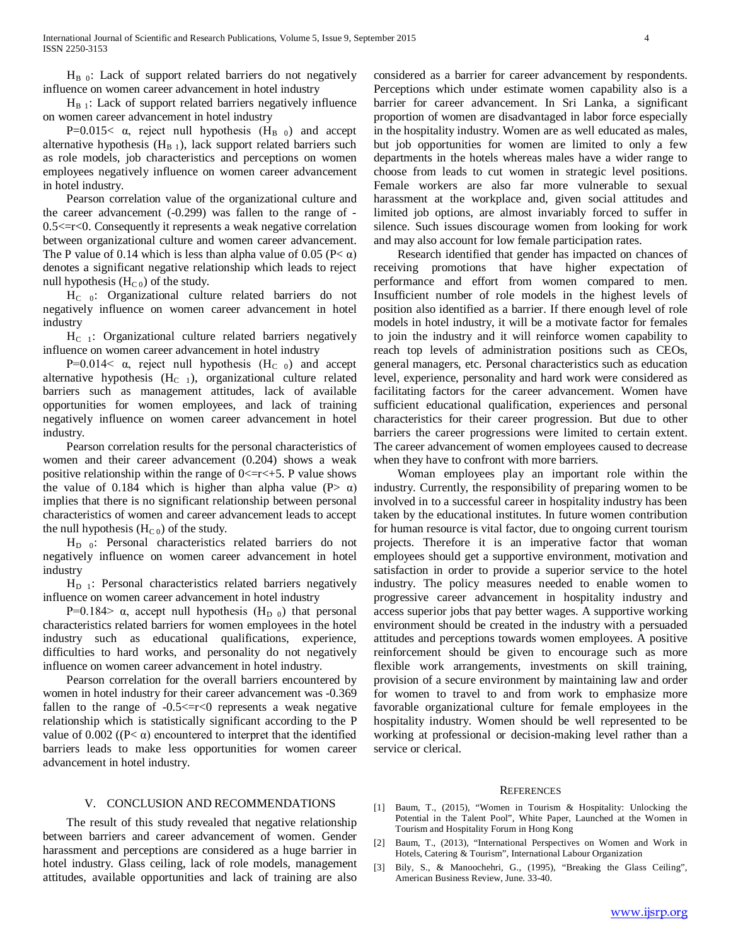$H_{B_0}$ : Lack of support related barriers do not negatively influence on women career advancement in hotel industry

 $H_{B_1}$ : Lack of support related barriers negatively influence on women career advancement in hotel industry

P=0.015<  $\alpha$ , reject null hypothesis (H<sub>B 0</sub>) and accept alternative hypothesis  $(H_{B_1})$ , lack support related barriers such as role models, job characteristics and perceptions on women employees negatively influence on women career advancement in hotel industry.

 Pearson correlation value of the organizational culture and the career advancement (-0.299) was fallen to the range of -  $0.5 \le r \le 0$ . Consequently it represents a weak negative correlation between organizational culture and women career advancement. The P value of 0.14 which is less than alpha value of 0.05 (P $< \alpha$ ) denotes a significant negative relationship which leads to reject null hypothesis  $(H<sub>C 0</sub>)$  of the study.

 $H_C$  0: Organizational culture related barriers do not negatively influence on women career advancement in hotel industry

 $H_{C<sub>1</sub>}$ : Organizational culture related barriers negatively influence on women career advancement in hotel industry

P=0.014< α, reject null hypothesis (H<sub>C 0</sub>) and accept alternative hypothesis  $(H<sub>C-1</sub>)$ , organizational culture related barriers such as management attitudes, lack of available opportunities for women employees, and lack of training negatively influence on women career advancement in hotel industry.

 Pearson correlation results for the personal characteristics of women and their career advancement (0.204) shows a weak positive relationship within the range of  $0 \le r \le +5$ . P value shows the value of 0.184 which is higher than alpha value (P  $\alpha$ ) implies that there is no significant relationship between personal characteristics of women and career advancement leads to accept the null hypothesis  $(H<sub>C 0</sub>)$  of the study.

 $H_{D}$  0: Personal characteristics related barriers do not negatively influence on women career advancement in hotel industry

 $H<sub>D 1</sub>$ : Personal characteristics related barriers negatively influence on women career advancement in hotel industry

P=0.184> α, accept null hypothesis (H<sub>D 0</sub>) that personal characteristics related barriers for women employees in the hotel industry such as educational qualifications, experience, difficulties to hard works, and personality do not negatively influence on women career advancement in hotel industry.

 Pearson correlation for the overall barriers encountered by women in hotel industry for their career advancement was -0.369 fallen to the range of  $-0.5 \le r \le 0$  represents a weak negative relationship which is statistically significant according to the P value of 0.002 ( $(P< \alpha)$ ) encountered to interpret that the identified barriers leads to make less opportunities for women career advancement in hotel industry.

## V. CONCLUSION AND RECOMMENDATIONS

 The result of this study revealed that negative relationship between barriers and career advancement of women. Gender harassment and perceptions are considered as a huge barrier in hotel industry. Glass ceiling, lack of role models, management attitudes, available opportunities and lack of training are also

considered as a barrier for career advancement by respondents. Perceptions which under estimate women capability also is a barrier for career advancement. In Sri Lanka, a significant proportion of women are disadvantaged in labor force especially in the hospitality industry. Women are as well educated as males, but job opportunities for women are limited to only a few departments in the hotels whereas males have a wider range to choose from leads to cut women in strategic level positions. Female workers are also far more vulnerable to sexual harassment at the workplace and, given social attitudes and limited job options, are almost invariably forced to suffer in silence. Such issues discourage women from looking for work and may also account for low female participation rates.

 Research identified that gender has impacted on chances of receiving promotions that have higher expectation of performance and effort from women compared to men. Insufficient number of role models in the highest levels of position also identified as a barrier. If there enough level of role models in hotel industry, it will be a motivate factor for females to join the industry and it will reinforce women capability to reach top levels of administration positions such as CEOs, general managers, etc. Personal characteristics such as education level, experience, personality and hard work were considered as facilitating factors for the career advancement. Women have sufficient educational qualification, experiences and personal characteristics for their career progression. But due to other barriers the career progressions were limited to certain extent. The career advancement of women employees caused to decrease when they have to confront with more barriers.

 Woman employees play an important role within the industry. Currently, the responsibility of preparing women to be involved in to a successful career in hospitality industry has been taken by the educational institutes. In future women contribution for human resource is vital factor, due to ongoing current tourism projects. Therefore it is an imperative factor that woman employees should get a supportive environment, motivation and satisfaction in order to provide a superior service to the hotel industry. The policy measures needed to enable women to progressive career advancement in hospitality industry and access superior jobs that pay better wages. A supportive working environment should be created in the industry with a persuaded attitudes and perceptions towards women employees. A positive reinforcement should be given to encourage such as more flexible work arrangements, investments on skill training, provision of a secure environment by maintaining law and order for women to travel to and from work to emphasize more favorable organizational culture for female employees in the hospitality industry. Women should be well represented to be working at professional or decision-making level rather than a service or clerical.

#### **REFERENCES**

- [1] Baum, T., (2015), "Women in Tourism & Hospitality: Unlocking the Potential in the Talent Pool", White Paper, Launched at the Women in Tourism and Hospitality Forum in Hong Kong
- [2] Baum, T., (2013), "International Perspectives on Women and Work in Hotels, Catering & Tourism", International Labour Organization
- [3] Bily, S., & Manoochehri, G., (1995), "Breaking the Glass Ceiling", American Business Review, June. 33-40.